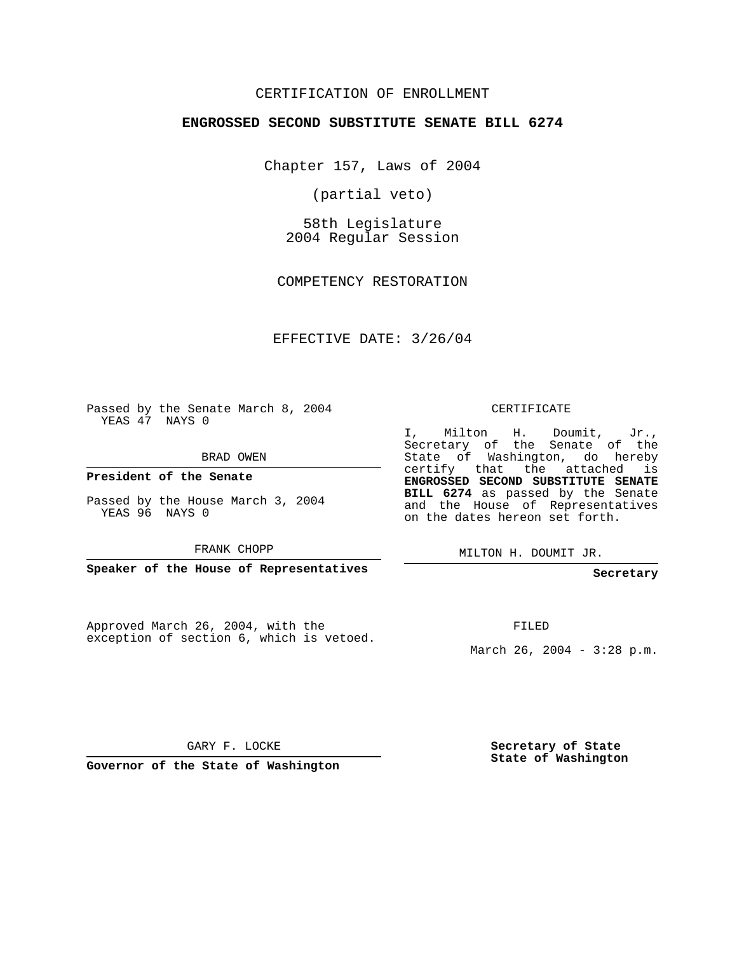## CERTIFICATION OF ENROLLMENT

#### **ENGROSSED SECOND SUBSTITUTE SENATE BILL 6274**

Chapter 157, Laws of 2004

(partial veto)

58th Legislature 2004 Regular Session

COMPETENCY RESTORATION

EFFECTIVE DATE: 3/26/04

Passed by the Senate March 8, 2004 YEAS 47 NAYS 0

BRAD OWEN

**President of the Senate**

Passed by the House March 3, 2004 YEAS 96 NAYS 0

FRANK CHOPP

**Speaker of the House of Representatives**

Approved March 26, 2004, with the exception of section 6, which is vetoed.

#### CERTIFICATE

I, Milton H. Doumit, Jr., Secretary of the Senate of the State of Washington, do hereby certify that the attached is **ENGROSSED SECOND SUBSTITUTE SENATE BILL 6274** as passed by the Senate and the House of Representatives on the dates hereon set forth.

MILTON H. DOUMIT JR.

**Secretary**

FILED

March 26, 2004 - 3:28 p.m.

GARY F. LOCKE

**Governor of the State of Washington**

**Secretary of State State of Washington**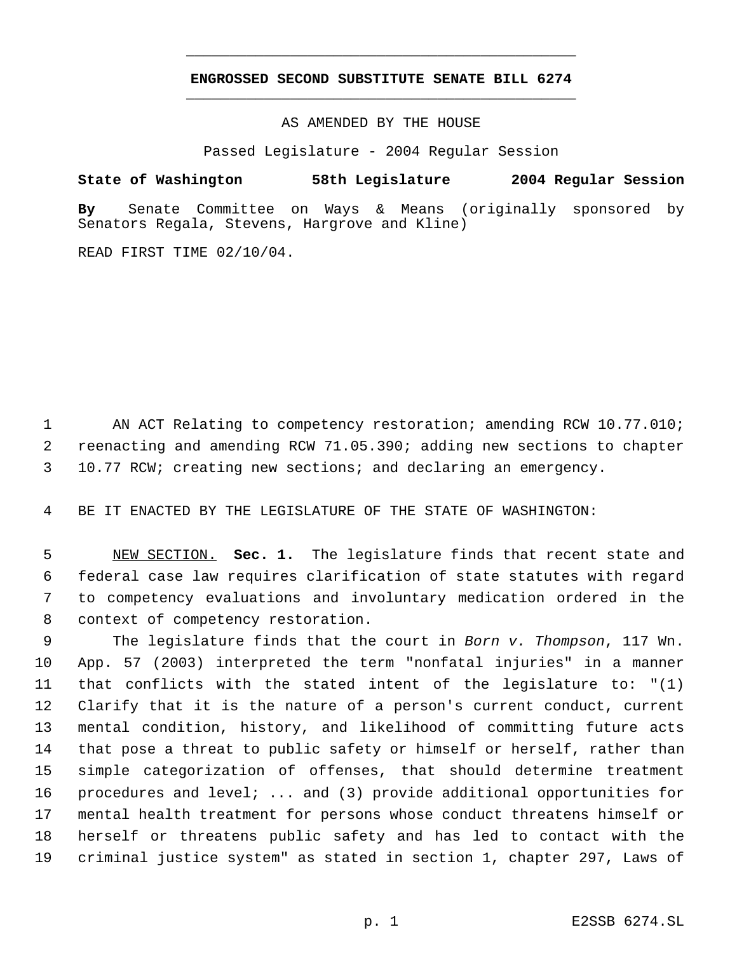# **ENGROSSED SECOND SUBSTITUTE SENATE BILL 6274** \_\_\_\_\_\_\_\_\_\_\_\_\_\_\_\_\_\_\_\_\_\_\_\_\_\_\_\_\_\_\_\_\_\_\_\_\_\_\_\_\_\_\_\_\_

\_\_\_\_\_\_\_\_\_\_\_\_\_\_\_\_\_\_\_\_\_\_\_\_\_\_\_\_\_\_\_\_\_\_\_\_\_\_\_\_\_\_\_\_\_

AS AMENDED BY THE HOUSE

Passed Legislature - 2004 Regular Session

### **State of Washington 58th Legislature 2004 Regular Session**

**By** Senate Committee on Ways & Means (originally sponsored by Senators Regala, Stevens, Hargrove and Kline)

READ FIRST TIME 02/10/04.

 AN ACT Relating to competency restoration; amending RCW 10.77.010; reenacting and amending RCW 71.05.390; adding new sections to chapter 10.77 RCW; creating new sections; and declaring an emergency.

BE IT ENACTED BY THE LEGISLATURE OF THE STATE OF WASHINGTON:

 NEW SECTION. **Sec. 1.** The legislature finds that recent state and federal case law requires clarification of state statutes with regard to competency evaluations and involuntary medication ordered in the context of competency restoration.

 The legislature finds that the court in *Born v. Thompson*, 117 Wn. App. 57 (2003) interpreted the term "nonfatal injuries" in a manner that conflicts with the stated intent of the legislature to: "(1) Clarify that it is the nature of a person's current conduct, current mental condition, history, and likelihood of committing future acts that pose a threat to public safety or himself or herself, rather than simple categorization of offenses, that should determine treatment procedures and level; ... and (3) provide additional opportunities for mental health treatment for persons whose conduct threatens himself or herself or threatens public safety and has led to contact with the criminal justice system" as stated in section 1, chapter 297, Laws of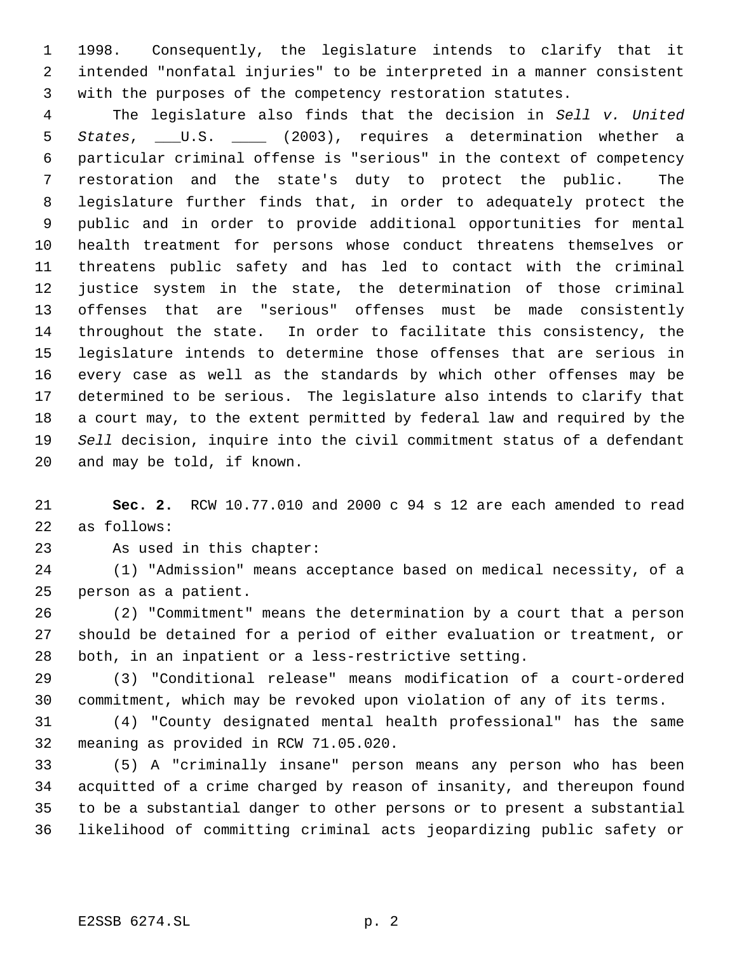1998. Consequently, the legislature intends to clarify that it intended "nonfatal injuries" to be interpreted in a manner consistent with the purposes of the competency restoration statutes.

 The legislature also finds that the decision in *Sell v. United States*, \_\_\_U.S. \_\_\_\_ (2003), requires a determination whether a particular criminal offense is "serious" in the context of competency restoration and the state's duty to protect the public. The legislature further finds that, in order to adequately protect the public and in order to provide additional opportunities for mental health treatment for persons whose conduct threatens themselves or threatens public safety and has led to contact with the criminal justice system in the state, the determination of those criminal offenses that are "serious" offenses must be made consistently throughout the state. In order to facilitate this consistency, the legislature intends to determine those offenses that are serious in every case as well as the standards by which other offenses may be determined to be serious. The legislature also intends to clarify that a court may, to the extent permitted by federal law and required by the *Sell* decision, inquire into the civil commitment status of a defendant and may be told, if known.

 **Sec. 2.** RCW 10.77.010 and 2000 c 94 s 12 are each amended to read as follows:

As used in this chapter:

 (1) "Admission" means acceptance based on medical necessity, of a person as a patient.

 (2) "Commitment" means the determination by a court that a person should be detained for a period of either evaluation or treatment, or both, in an inpatient or a less-restrictive setting.

 (3) "Conditional release" means modification of a court-ordered commitment, which may be revoked upon violation of any of its terms.

 (4) "County designated mental health professional" has the same meaning as provided in RCW 71.05.020.

 (5) A "criminally insane" person means any person who has been acquitted of a crime charged by reason of insanity, and thereupon found to be a substantial danger to other persons or to present a substantial likelihood of committing criminal acts jeopardizing public safety or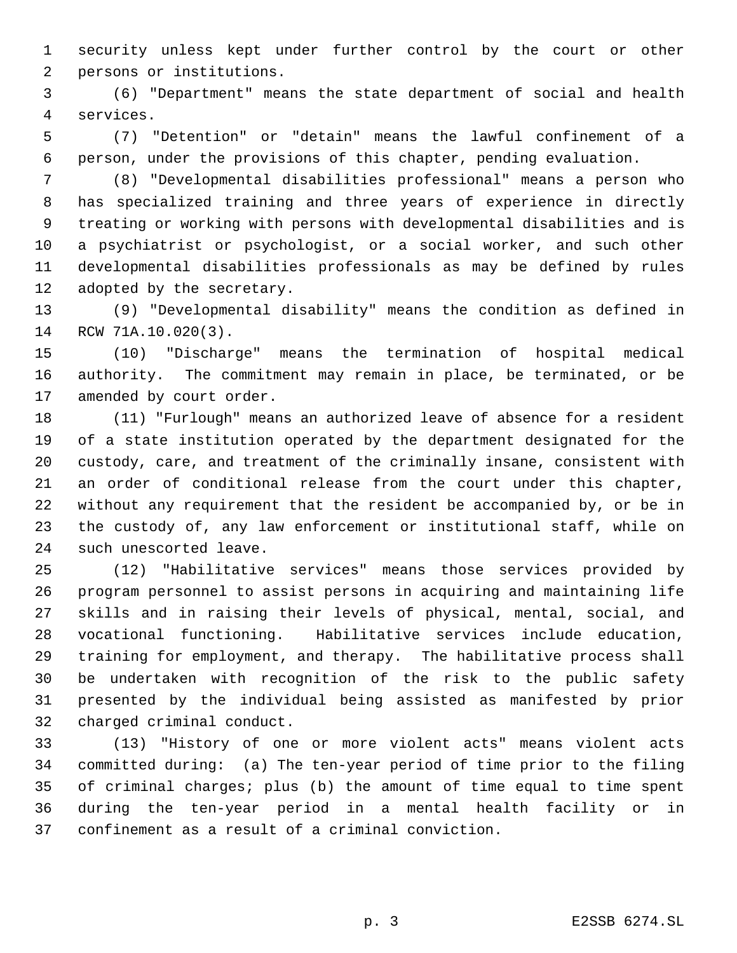security unless kept under further control by the court or other persons or institutions.

 (6) "Department" means the state department of social and health services.

 (7) "Detention" or "detain" means the lawful confinement of a person, under the provisions of this chapter, pending evaluation.

 (8) "Developmental disabilities professional" means a person who has specialized training and three years of experience in directly treating or working with persons with developmental disabilities and is a psychiatrist or psychologist, or a social worker, and such other developmental disabilities professionals as may be defined by rules adopted by the secretary.

 (9) "Developmental disability" means the condition as defined in RCW 71A.10.020(3).

 (10) "Discharge" means the termination of hospital medical authority. The commitment may remain in place, be terminated, or be amended by court order.

 (11) "Furlough" means an authorized leave of absence for a resident of a state institution operated by the department designated for the custody, care, and treatment of the criminally insane, consistent with an order of conditional release from the court under this chapter, without any requirement that the resident be accompanied by, or be in the custody of, any law enforcement or institutional staff, while on such unescorted leave.

 (12) "Habilitative services" means those services provided by program personnel to assist persons in acquiring and maintaining life skills and in raising their levels of physical, mental, social, and vocational functioning. Habilitative services include education, training for employment, and therapy. The habilitative process shall be undertaken with recognition of the risk to the public safety presented by the individual being assisted as manifested by prior charged criminal conduct.

 (13) "History of one or more violent acts" means violent acts committed during: (a) The ten-year period of time prior to the filing of criminal charges; plus (b) the amount of time equal to time spent during the ten-year period in a mental health facility or in confinement as a result of a criminal conviction.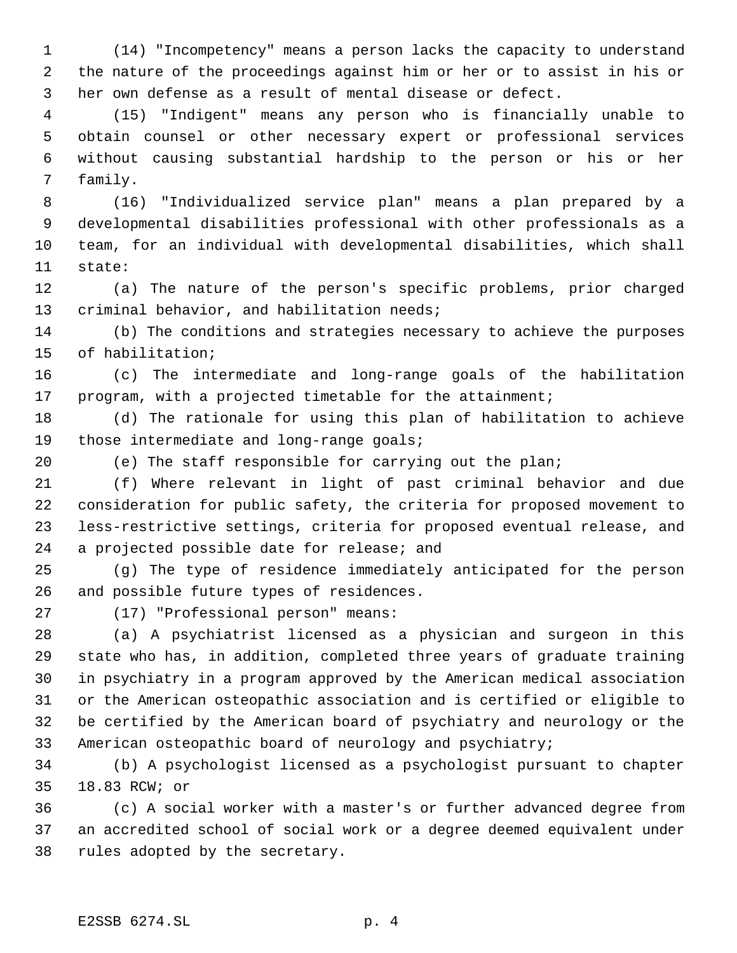(14) "Incompetency" means a person lacks the capacity to understand the nature of the proceedings against him or her or to assist in his or her own defense as a result of mental disease or defect.

 (15) "Indigent" means any person who is financially unable to obtain counsel or other necessary expert or professional services without causing substantial hardship to the person or his or her family.

 (16) "Individualized service plan" means a plan prepared by a developmental disabilities professional with other professionals as a team, for an individual with developmental disabilities, which shall state:

 (a) The nature of the person's specific problems, prior charged criminal behavior, and habilitation needs;

 (b) The conditions and strategies necessary to achieve the purposes of habilitation;

 (c) The intermediate and long-range goals of the habilitation program, with a projected timetable for the attainment;

 (d) The rationale for using this plan of habilitation to achieve 19 those intermediate and long-range goals;

(e) The staff responsible for carrying out the plan;

 (f) Where relevant in light of past criminal behavior and due consideration for public safety, the criteria for proposed movement to less-restrictive settings, criteria for proposed eventual release, and a projected possible date for release; and

 (g) The type of residence immediately anticipated for the person and possible future types of residences.

(17) "Professional person" means:

 (a) A psychiatrist licensed as a physician and surgeon in this state who has, in addition, completed three years of graduate training in psychiatry in a program approved by the American medical association or the American osteopathic association and is certified or eligible to be certified by the American board of psychiatry and neurology or the American osteopathic board of neurology and psychiatry;

 (b) A psychologist licensed as a psychologist pursuant to chapter 18.83 RCW; or

 (c) A social worker with a master's or further advanced degree from an accredited school of social work or a degree deemed equivalent under rules adopted by the secretary.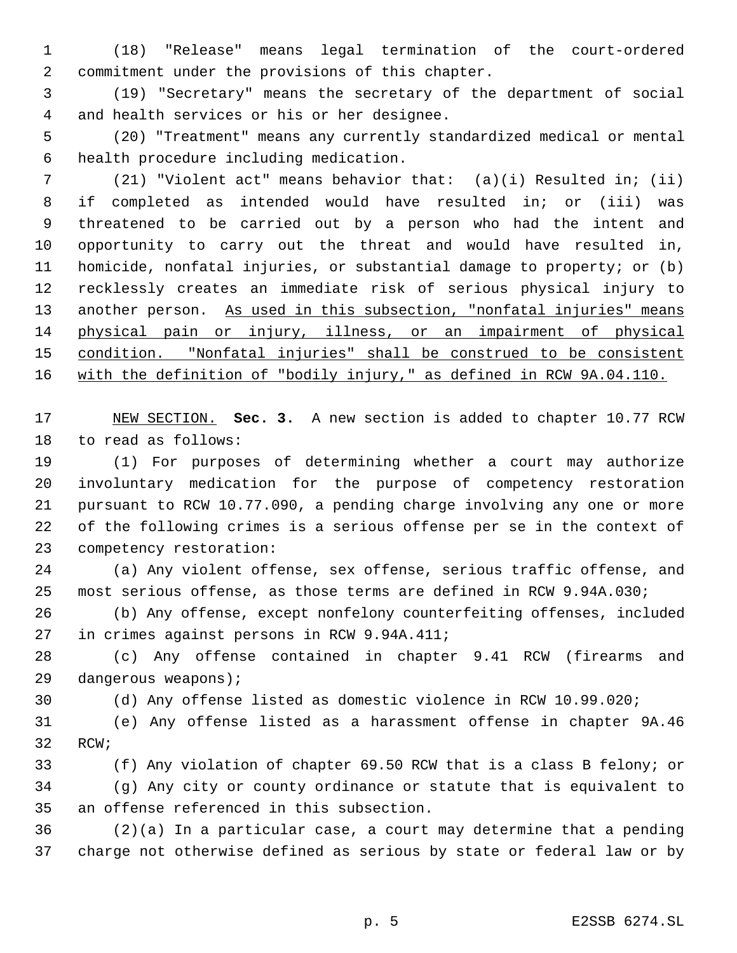(18) "Release" means legal termination of the court-ordered commitment under the provisions of this chapter.

 (19) "Secretary" means the secretary of the department of social and health services or his or her designee.

 (20) "Treatment" means any currently standardized medical or mental health procedure including medication.

 (21) "Violent act" means behavior that: (a)(i) Resulted in; (ii) if completed as intended would have resulted in; or (iii) was threatened to be carried out by a person who had the intent and opportunity to carry out the threat and would have resulted in, homicide, nonfatal injuries, or substantial damage to property; or (b) recklessly creates an immediate risk of serious physical injury to 13 another person. As used in this subsection, "nonfatal injuries" means physical pain or injury, illness, or an impairment of physical 15 condition. "Nonfatal injuries" shall be construed to be consistent with the definition of "bodily injury," as defined in RCW 9A.04.110.

 NEW SECTION. **Sec. 3.** A new section is added to chapter 10.77 RCW to read as follows:

 (1) For purposes of determining whether a court may authorize involuntary medication for the purpose of competency restoration pursuant to RCW 10.77.090, a pending charge involving any one or more of the following crimes is a serious offense per se in the context of competency restoration:

 (a) Any violent offense, sex offense, serious traffic offense, and most serious offense, as those terms are defined in RCW 9.94A.030;

 (b) Any offense, except nonfelony counterfeiting offenses, included in crimes against persons in RCW 9.94A.411;

 (c) Any offense contained in chapter 9.41 RCW (firearms and dangerous weapons);

(d) Any offense listed as domestic violence in RCW 10.99.020;

 (e) Any offense listed as a harassment offense in chapter 9A.46 RCW;

 (f) Any violation of chapter 69.50 RCW that is a class B felony; or (g) Any city or county ordinance or statute that is equivalent to an offense referenced in this subsection.

 (2)(a) In a particular case, a court may determine that a pending charge not otherwise defined as serious by state or federal law or by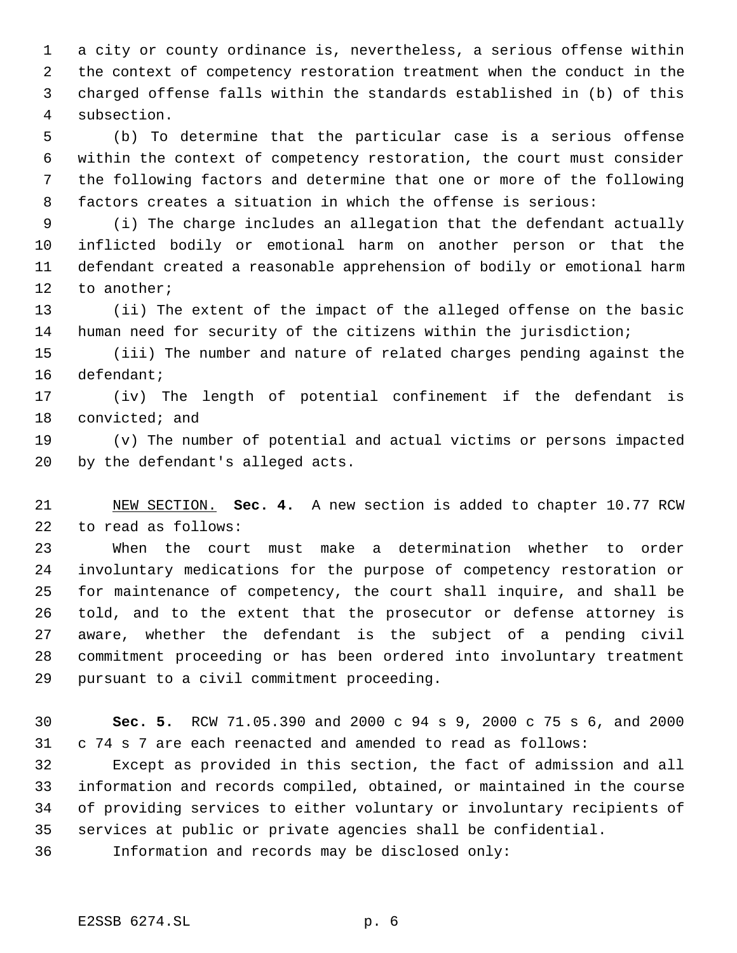a city or county ordinance is, nevertheless, a serious offense within the context of competency restoration treatment when the conduct in the charged offense falls within the standards established in (b) of this subsection.

 (b) To determine that the particular case is a serious offense within the context of competency restoration, the court must consider the following factors and determine that one or more of the following factors creates a situation in which the offense is serious:

 (i) The charge includes an allegation that the defendant actually inflicted bodily or emotional harm on another person or that the defendant created a reasonable apprehension of bodily or emotional harm to another;

 (ii) The extent of the impact of the alleged offense on the basic human need for security of the citizens within the jurisdiction;

 (iii) The number and nature of related charges pending against the defendant;

 (iv) The length of potential confinement if the defendant is convicted; and

 (v) The number of potential and actual victims or persons impacted by the defendant's alleged acts.

 NEW SECTION. **Sec. 4.** A new section is added to chapter 10.77 RCW to read as follows:

 When the court must make a determination whether to order involuntary medications for the purpose of competency restoration or for maintenance of competency, the court shall inquire, and shall be told, and to the extent that the prosecutor or defense attorney is aware, whether the defendant is the subject of a pending civil commitment proceeding or has been ordered into involuntary treatment pursuant to a civil commitment proceeding.

 **Sec. 5.** RCW 71.05.390 and 2000 c 94 s 9, 2000 c 75 s 6, and 2000 c 74 s 7 are each reenacted and amended to read as follows:

 Except as provided in this section, the fact of admission and all information and records compiled, obtained, or maintained in the course of providing services to either voluntary or involuntary recipients of services at public or private agencies shall be confidential.

Information and records may be disclosed only: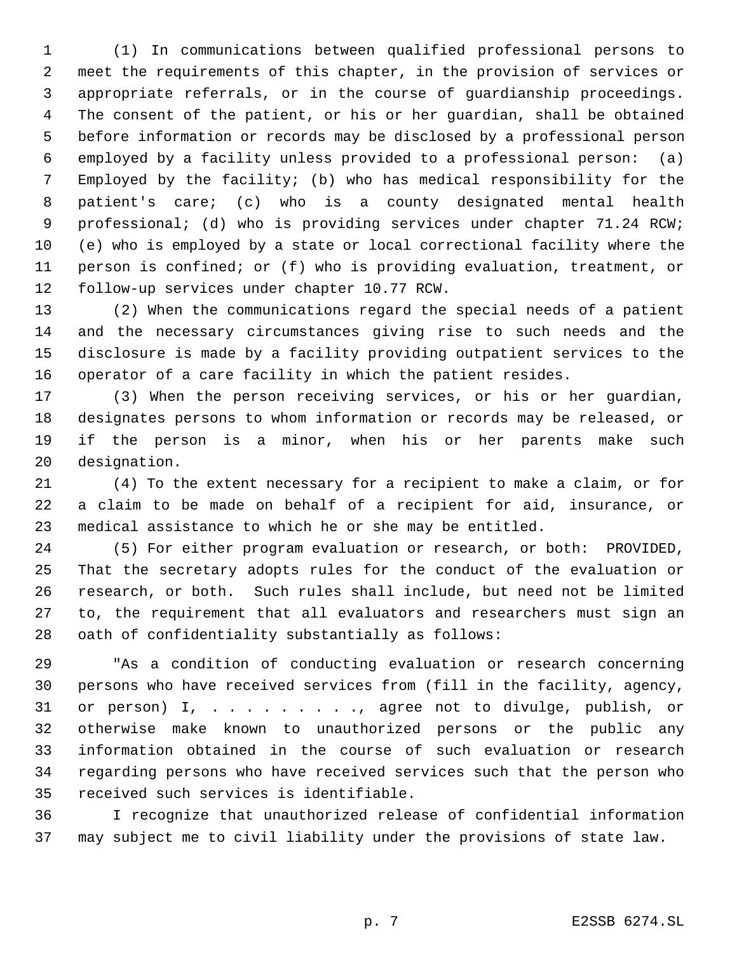(1) In communications between qualified professional persons to meet the requirements of this chapter, in the provision of services or appropriate referrals, or in the course of guardianship proceedings. The consent of the patient, or his or her guardian, shall be obtained before information or records may be disclosed by a professional person employed by a facility unless provided to a professional person: (a) Employed by the facility; (b) who has medical responsibility for the patient's care; (c) who is a county designated mental health professional; (d) who is providing services under chapter 71.24 RCW; (e) who is employed by a state or local correctional facility where the person is confined; or (f) who is providing evaluation, treatment, or follow-up services under chapter 10.77 RCW.

 (2) When the communications regard the special needs of a patient and the necessary circumstances giving rise to such needs and the disclosure is made by a facility providing outpatient services to the operator of a care facility in which the patient resides.

 (3) When the person receiving services, or his or her guardian, designates persons to whom information or records may be released, or if the person is a minor, when his or her parents make such designation.

 (4) To the extent necessary for a recipient to make a claim, or for a claim to be made on behalf of a recipient for aid, insurance, or medical assistance to which he or she may be entitled.

 (5) For either program evaluation or research, or both: PROVIDED, That the secretary adopts rules for the conduct of the evaluation or research, or both. Such rules shall include, but need not be limited to, the requirement that all evaluators and researchers must sign an oath of confidentiality substantially as follows:

 "As a condition of conducting evaluation or research concerning persons who have received services from (fill in the facility, agency, or person) I, . . . . . . . . ., agree not to divulge, publish, or otherwise make known to unauthorized persons or the public any information obtained in the course of such evaluation or research regarding persons who have received services such that the person who received such services is identifiable.

 I recognize that unauthorized release of confidential information may subject me to civil liability under the provisions of state law.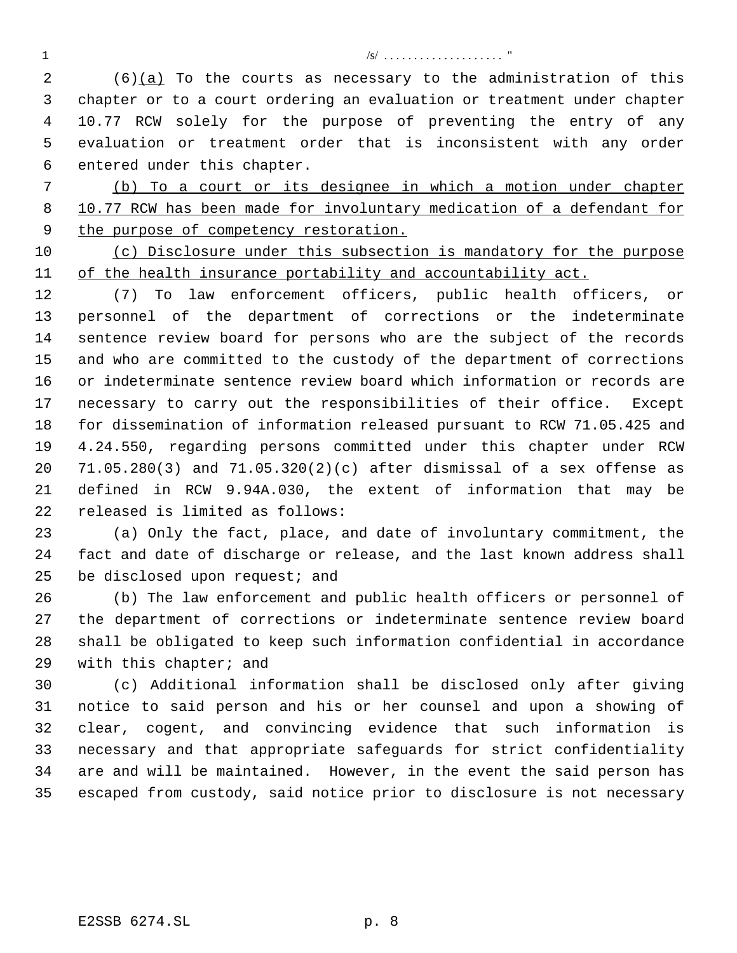/s/ . . . . . . . . . . . . . . . . . . . . "

 $(6)(a)$  To the courts as necessary to the administration of this chapter or to a court ordering an evaluation or treatment under chapter 10.77 RCW solely for the purpose of preventing the entry of any evaluation or treatment order that is inconsistent with any order entered under this chapter.

 (b) To a court or its designee in which a motion under chapter 10.77 RCW has been made for involuntary medication of a defendant for 9 the purpose of competency restoration.

 (c) Disclosure under this subsection is mandatory for the purpose 11 of the health insurance portability and accountability act.

 (7) To law enforcement officers, public health officers, or personnel of the department of corrections or the indeterminate sentence review board for persons who are the subject of the records and who are committed to the custody of the department of corrections or indeterminate sentence review board which information or records are necessary to carry out the responsibilities of their office. Except for dissemination of information released pursuant to RCW 71.05.425 and 4.24.550, regarding persons committed under this chapter under RCW 71.05.280(3) and 71.05.320(2)(c) after dismissal of a sex offense as defined in RCW 9.94A.030, the extent of information that may be released is limited as follows:

 (a) Only the fact, place, and date of involuntary commitment, the fact and date of discharge or release, and the last known address shall 25 be disclosed upon request; and

 (b) The law enforcement and public health officers or personnel of the department of corrections or indeterminate sentence review board shall be obligated to keep such information confidential in accordance with this chapter; and

 (c) Additional information shall be disclosed only after giving notice to said person and his or her counsel and upon a showing of clear, cogent, and convincing evidence that such information is necessary and that appropriate safeguards for strict confidentiality are and will be maintained. However, in the event the said person has escaped from custody, said notice prior to disclosure is not necessary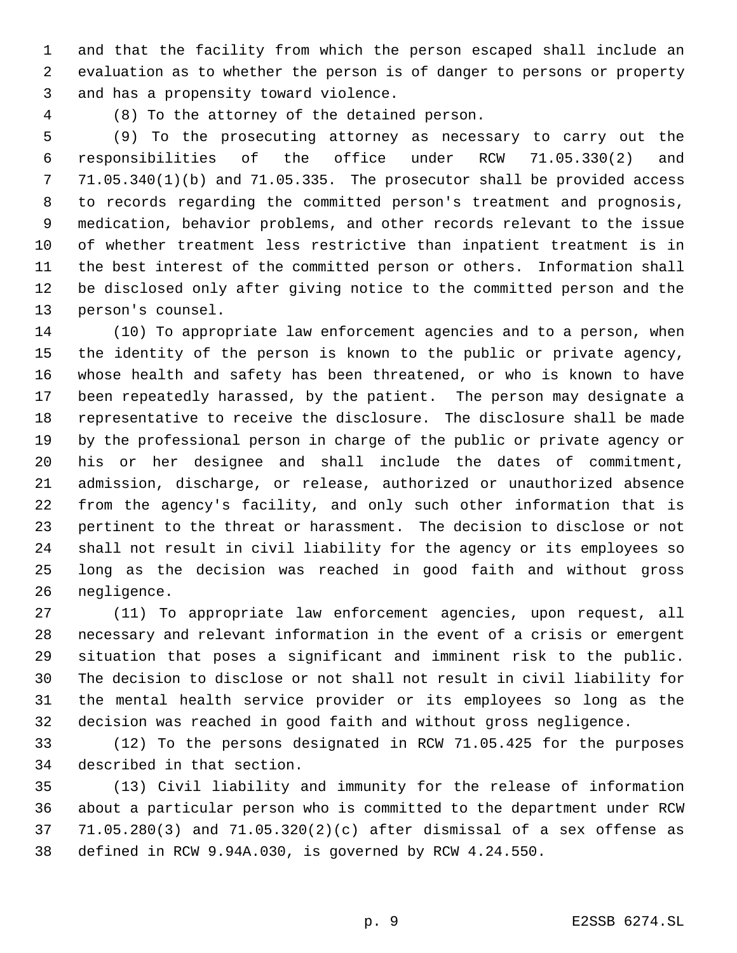and that the facility from which the person escaped shall include an evaluation as to whether the person is of danger to persons or property and has a propensity toward violence.

(8) To the attorney of the detained person.

 (9) To the prosecuting attorney as necessary to carry out the responsibilities of the office under RCW 71.05.330(2) and 71.05.340(1)(b) and 71.05.335. The prosecutor shall be provided access to records regarding the committed person's treatment and prognosis, medication, behavior problems, and other records relevant to the issue of whether treatment less restrictive than inpatient treatment is in the best interest of the committed person or others. Information shall be disclosed only after giving notice to the committed person and the person's counsel.

 (10) To appropriate law enforcement agencies and to a person, when the identity of the person is known to the public or private agency, whose health and safety has been threatened, or who is known to have been repeatedly harassed, by the patient. The person may designate a representative to receive the disclosure. The disclosure shall be made by the professional person in charge of the public or private agency or his or her designee and shall include the dates of commitment, admission, discharge, or release, authorized or unauthorized absence from the agency's facility, and only such other information that is pertinent to the threat or harassment. The decision to disclose or not shall not result in civil liability for the agency or its employees so long as the decision was reached in good faith and without gross negligence.

 (11) To appropriate law enforcement agencies, upon request, all necessary and relevant information in the event of a crisis or emergent situation that poses a significant and imminent risk to the public. The decision to disclose or not shall not result in civil liability for the mental health service provider or its employees so long as the decision was reached in good faith and without gross negligence.

 (12) To the persons designated in RCW 71.05.425 for the purposes described in that section.

 (13) Civil liability and immunity for the release of information about a particular person who is committed to the department under RCW 71.05.280(3) and 71.05.320(2)(c) after dismissal of a sex offense as defined in RCW 9.94A.030, is governed by RCW 4.24.550.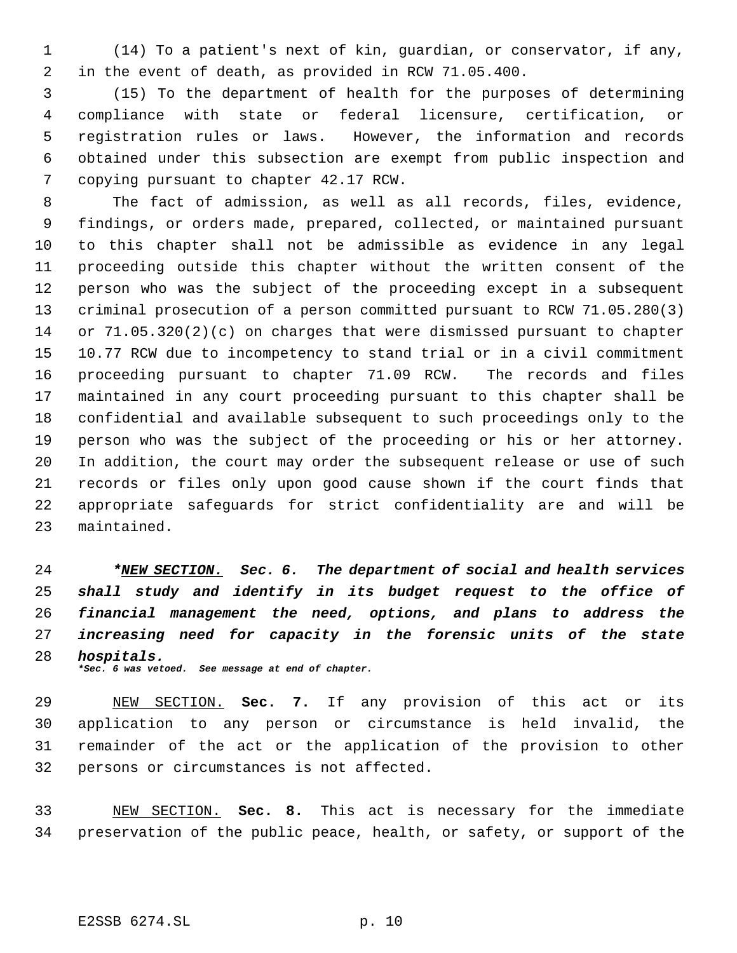(14) To a patient's next of kin, guardian, or conservator, if any, in the event of death, as provided in RCW 71.05.400.

 (15) To the department of health for the purposes of determining compliance with state or federal licensure, certification, or registration rules or laws. However, the information and records obtained under this subsection are exempt from public inspection and copying pursuant to chapter 42.17 RCW.

 The fact of admission, as well as all records, files, evidence, findings, or orders made, prepared, collected, or maintained pursuant to this chapter shall not be admissible as evidence in any legal proceeding outside this chapter without the written consent of the person who was the subject of the proceeding except in a subsequent criminal prosecution of a person committed pursuant to RCW 71.05.280(3) or 71.05.320(2)(c) on charges that were dismissed pursuant to chapter 10.77 RCW due to incompetency to stand trial or in a civil commitment proceeding pursuant to chapter 71.09 RCW. The records and files maintained in any court proceeding pursuant to this chapter shall be confidential and available subsequent to such proceedings only to the person who was the subject of the proceeding or his or her attorney. In addition, the court may order the subsequent release or use of such records or files only upon good cause shown if the court finds that appropriate safeguards for strict confidentiality are and will be maintained.

 *\*NEW SECTION. Sec. 6. The department of social and health services shall study and identify in its budget request to the office of financial management the need, options, and plans to address the increasing need for capacity in the forensic units of the state hospitals. \*Sec. 6 was vetoed. See message at end of chapter.*

 NEW SECTION. **Sec. 7.** If any provision of this act or its application to any person or circumstance is held invalid, the remainder of the act or the application of the provision to other persons or circumstances is not affected.

 NEW SECTION. **Sec. 8.** This act is necessary for the immediate preservation of the public peace, health, or safety, or support of the